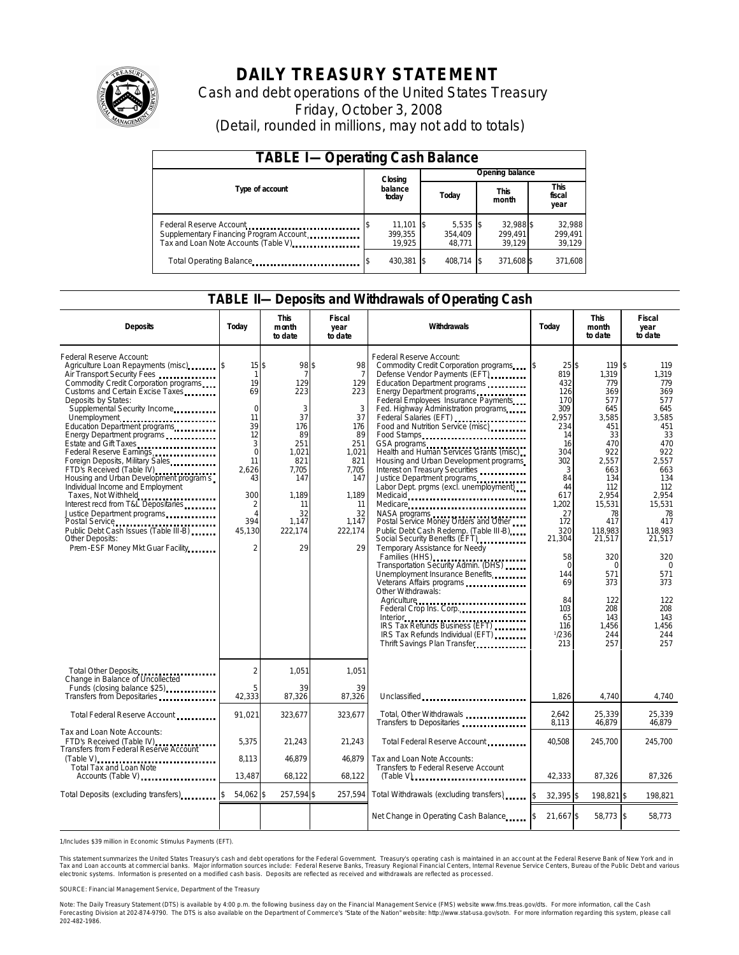

# **DAILY TREASURY STATEMENT**

Cash and debt operations of the United States Treasury Friday, October 3, 2008 (Detail, rounded in millions, may not add to totals)

| <b>TABLE I-Operating Cash Balance</b>                                                                      |                                  |                                 |                                |                             |  |  |  |
|------------------------------------------------------------------------------------------------------------|----------------------------------|---------------------------------|--------------------------------|-----------------------------|--|--|--|
|                                                                                                            | Closing                          |                                 | Opening balance                |                             |  |  |  |
| Type of account                                                                                            | balance<br>today                 | Today                           | <b>This</b><br>month           | This<br>fiscal<br>year      |  |  |  |
| Federal Reserve Account<br>Supplementary Financing Program Account<br>Tax and Loan Note Accounts (Table V) | $11,101$ \$<br>399.355<br>19.925 | $5,535$ \$<br>354.409<br>48.771 | 32.988 \$<br>299.491<br>39.129 | 32,988<br>299,491<br>39,129 |  |  |  |
| Total Operating Balance                                                                                    | 430,381 \$                       | 408.714 \$                      | 371,608 \$                     | 371,608                     |  |  |  |

### **TABLE II—Deposits and Withdrawals of Operating Cash**

| <b>Deposits</b>                                                                                                                                                                                                                                                                                                                                                                                                                                                                                                                                                                                                                               | Todav                                                                                                                                                                                 | <b>This</b><br>month<br>to date                                                                                                        | Fiscal<br>year<br>to date                                                                                                                        | Withdrawals                                                                                                                                                                                                                                                                                                                                                                                                                                                                                                                                                                                                                                                                                                                                                                                                                                                                                                                                                                                                                                                              | Todav                                                                                                                                                                                                                    | This<br>month<br>to date                                                                                                                                                                                                                      | Fiscal<br>year<br>to date                                                                                                                                                                                                                    |
|-----------------------------------------------------------------------------------------------------------------------------------------------------------------------------------------------------------------------------------------------------------------------------------------------------------------------------------------------------------------------------------------------------------------------------------------------------------------------------------------------------------------------------------------------------------------------------------------------------------------------------------------------|---------------------------------------------------------------------------------------------------------------------------------------------------------------------------------------|----------------------------------------------------------------------------------------------------------------------------------------|--------------------------------------------------------------------------------------------------------------------------------------------------|--------------------------------------------------------------------------------------------------------------------------------------------------------------------------------------------------------------------------------------------------------------------------------------------------------------------------------------------------------------------------------------------------------------------------------------------------------------------------------------------------------------------------------------------------------------------------------------------------------------------------------------------------------------------------------------------------------------------------------------------------------------------------------------------------------------------------------------------------------------------------------------------------------------------------------------------------------------------------------------------------------------------------------------------------------------------------|--------------------------------------------------------------------------------------------------------------------------------------------------------------------------------------------------------------------------|-----------------------------------------------------------------------------------------------------------------------------------------------------------------------------------------------------------------------------------------------|----------------------------------------------------------------------------------------------------------------------------------------------------------------------------------------------------------------------------------------------|
| Federal Reserve Account:<br>Agriculture Loan Repayments (misc)<br>Air Transport Security Fees<br>Commodity Credit Corporation programs<br>Customs and Certain Excise Taxes<br>Deposits by States:<br>Supplemental Security Income<br>Unemployment<br>Education Department programs<br>Estate and Gift Taxes<br>Federal Reserve Earnings<br>Foreign Deposits, Military Sales<br>FTD's Received (Table IV)<br>Housing and Urban Development program s<br>Individual Income and Employment<br>Taxes, Not Withheld<br>Interest recd from T&L Depositaries<br>Justice Department programs<br>Other Deposits:<br>Prem - ESF Money Mkt Guar Facility | $15$ \$<br>$\mathbf{1}$<br>19<br>69<br>$\overline{0}$<br>11<br>39<br>12<br>3<br>$\Omega$<br>11<br>2,626<br>43<br>300<br>$\mathfrak{D}$<br>$\Delta$<br>394<br>45.130<br>$\overline{2}$ | 98 \$<br>7<br>129<br>223<br>3<br>37<br>176<br>89<br>251<br>1.021<br>821<br>7,705<br>147<br>1,189<br>11<br>32<br>1.147<br>222.174<br>29 | 98<br>$\overline{7}$<br>129<br>223<br>3<br>37<br>176<br>89<br>251<br>1.021<br>821<br>7,705<br>147<br>1,189<br>11<br>32<br>1.147<br>222.174<br>29 | Federal Reserve Account:<br>Commodity Credit Corporation programs<br>Defense Vendor Payments (EFT)<br>Education Department programs<br>Energy Department programs<br>Federal Employees Insurance Payments<br>Fed. Highway Administration programs<br>Federal Salaries (EFT)<br>Food and Nutrition Service (misc)<br>Food Stamps<br>GSA programs<br>Health and Human Services Grants (misc)<br>Housing and Urban Development programs<br>Interest on Treasury Securities<br>Justice Department programs<br>Labor Dept. prgms (excl. unemployment)<br>Medicaid<br>Medicare<br>NASA programs<br>Postal Service Money Orders and Other<br>Public Debt Cash Redemp. (Table III-B)<br>Social Security Benefits (EFT)<br>Temporary Assistance for Needy<br>Families (HHS)<br>Transportation Security Admin. (DHS)<br>Unemployment Insurance Benefits<br>Veterans Affairs programs<br>Other Withdrawals:<br>Agriculture<br>Federal Crop Ins. Corp<br>Interior.<br>Interior<br>IRS Tax Refunds Business (EFT)<br>IRS Tax Refunds Individual (EFT)<br>Thrift Savings Plan Transfer | 25S<br>819<br>432<br>126<br>170<br>309<br>2,957<br>234<br>14<br>16<br>304<br>302<br>3<br>84<br>44<br>617<br>1,202<br>27<br>172<br>320<br>21,304<br>58<br>$\Omega$<br>144<br>69<br>84<br>103<br>65<br>116<br>1/236<br>213 | 119S<br>1.319<br>779<br>369<br>577<br>645<br>3,585<br>451<br>33<br>470<br>922<br>2,557<br>663<br>134<br>112<br>2,954<br>15,531<br>78<br>417<br>118.983<br>21,517<br>320<br>$\Omega$<br>571<br>373<br>122<br>208<br>143<br>1,456<br>244<br>257 | 119<br>1.319<br>779<br>369<br>577<br>645<br>3.585<br>451<br>33<br>470<br>922<br>2,557<br>663<br>134<br>112<br>2,954<br>15.531<br>78<br>417<br>118.983<br>21,517<br>320<br>$\Omega$<br>571<br>373<br>122<br>208<br>143<br>1,456<br>244<br>257 |
| Total Other Deposits<br>Change in Balance of Uncollected                                                                                                                                                                                                                                                                                                                                                                                                                                                                                                                                                                                      | $\mathfrak{D}$                                                                                                                                                                        | 1,051                                                                                                                                  | 1,051                                                                                                                                            |                                                                                                                                                                                                                                                                                                                                                                                                                                                                                                                                                                                                                                                                                                                                                                                                                                                                                                                                                                                                                                                                          |                                                                                                                                                                                                                          |                                                                                                                                                                                                                                               |                                                                                                                                                                                                                                              |
| Funds (closing balance \$25)<br>Transfers from Depositaries                                                                                                                                                                                                                                                                                                                                                                                                                                                                                                                                                                                   | 5<br>42,333                                                                                                                                                                           | 39<br>87,326                                                                                                                           | 39<br>87,326                                                                                                                                     | Unclassified                                                                                                                                                                                                                                                                                                                                                                                                                                                                                                                                                                                                                                                                                                                                                                                                                                                                                                                                                                                                                                                             | 1,826                                                                                                                                                                                                                    | 4,740                                                                                                                                                                                                                                         | 4,740                                                                                                                                                                                                                                        |
| Total Federal Reserve Account                                                                                                                                                                                                                                                                                                                                                                                                                                                                                                                                                                                                                 | 91,021                                                                                                                                                                                | 323,677                                                                                                                                | 323,677                                                                                                                                          | Total, Other Withdrawals<br>Transfers to Depositaries                                                                                                                                                                                                                                                                                                                                                                                                                                                                                                                                                                                                                                                                                                                                                                                                                                                                                                                                                                                                                    | 2,642<br>8,113                                                                                                                                                                                                           | 25,339<br>46,879                                                                                                                                                                                                                              | 25,339<br>46,879                                                                                                                                                                                                                             |
| Tax and Loan Note Accounts:<br>FTD's Received (Table IV)<br>Transfers from Federal Reserve Account                                                                                                                                                                                                                                                                                                                                                                                                                                                                                                                                            | 5,375                                                                                                                                                                                 | 21,243                                                                                                                                 | 21,243                                                                                                                                           | Total Federal Reserve Account                                                                                                                                                                                                                                                                                                                                                                                                                                                                                                                                                                                                                                                                                                                                                                                                                                                                                                                                                                                                                                            | 40,508                                                                                                                                                                                                                   | 245,700                                                                                                                                                                                                                                       | 245,700                                                                                                                                                                                                                                      |
| $(Table V)$<br>Total Tax and Loan Note<br>Accounts (Table V) <b>Accounts</b> (Table V)                                                                                                                                                                                                                                                                                                                                                                                                                                                                                                                                                        | 8.113<br>13,487                                                                                                                                                                       | 46.879<br>68,122                                                                                                                       | 46.879<br>68,122                                                                                                                                 | Tax and Loan Note Accounts:<br>Transfers to Federal Reserve Account                                                                                                                                                                                                                                                                                                                                                                                                                                                                                                                                                                                                                                                                                                                                                                                                                                                                                                                                                                                                      | 42,333                                                                                                                                                                                                                   | 87,326                                                                                                                                                                                                                                        | 87,326                                                                                                                                                                                                                                       |
| Total Deposits (excluding transfers)                                                                                                                                                                                                                                                                                                                                                                                                                                                                                                                                                                                                          | 54.062 \$                                                                                                                                                                             | 257,594 \$                                                                                                                             | 257,594                                                                                                                                          | Total Withdrawals (excluding transfers)                                                                                                                                                                                                                                                                                                                                                                                                                                                                                                                                                                                                                                                                                                                                                                                                                                                                                                                                                                                                                                  | 32,395 \$                                                                                                                                                                                                                | 198,821 \$                                                                                                                                                                                                                                    | 198,821                                                                                                                                                                                                                                      |
|                                                                                                                                                                                                                                                                                                                                                                                                                                                                                                                                                                                                                                               |                                                                                                                                                                                       |                                                                                                                                        |                                                                                                                                                  | Net Change in Operating Cash Balance 5                                                                                                                                                                                                                                                                                                                                                                                                                                                                                                                                                                                                                                                                                                                                                                                                                                                                                                                                                                                                                                   | 21,667 \$                                                                                                                                                                                                                | 58,773 \$                                                                                                                                                                                                                                     | 58,773                                                                                                                                                                                                                                       |

1/Includes \$39 million in Economic Stimulus Payments (EFT).

This statement summarizes the United States Treasury's cash and debt operations for the Federal Government. Treasury's operating cash is maintained in an account at the Federal Reserve Bank of New York and in<br>Tax and Loan electronic systems. Information is presented on a modified cash basis. Deposits are reflected as received and withdrawals are reflected as processed.

SOURCE: Financial Management Service, Department of the Treasury

Note: The Daily Treasury Statement (DTS) is available by 4:00 p.m. the following business day on the Financial Management Service (FMS) website www.fms.treas.gov/dts. For more information, call the Cash Forecasting Division at 202-874-9790. The DTS is also available on the Department of Commerce's "State of the Nation" website: http://www.stat-usa.gov/sotn. For more information regarding this system, please call<br>202-482-1